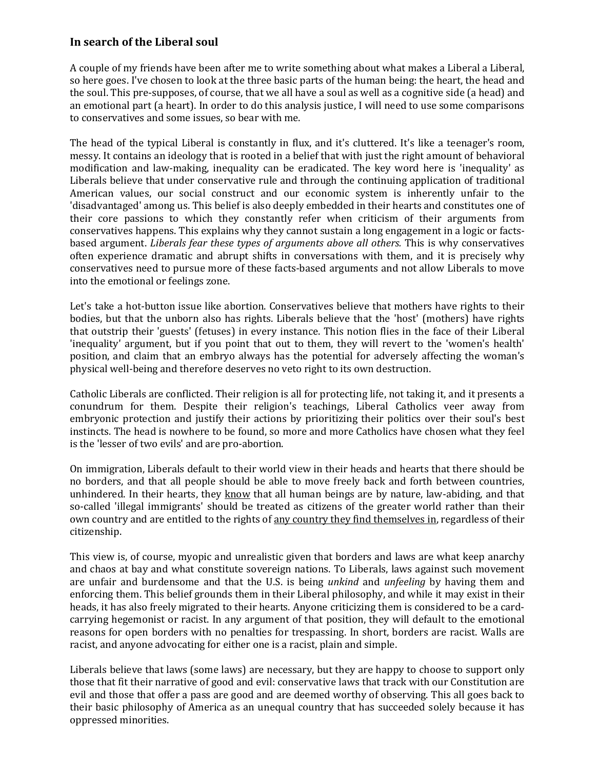## **In search of the Liberal soul**

A couple of my friends have been after me to write something about what makes a Liberal a Liberal, so here goes. I've chosen to look at the three basic parts of the human being: the heart, the head and the soul. This pre-supposes, of course, that we all have a soul as well as a cognitive side (a head) and an emotional part (a heart). In order to do this analysis justice, I will need to use some comparisons to conservatives and some issues, so bear with me.

The head of the typical Liberal is constantly in flux, and it's cluttered. It's like a teenager's room, messy. It contains an ideology that is rooted in a belief that with just the right amount of behavioral modification and law-making, inequality can be eradicated. The key word here is 'inequality' as Liberals believe that under conservative rule and through the continuing application of traditional American values, our social construct and our economic system is inherently unfair to the 'disadvantaged' among us. This belief is also deeply embedded in their hearts and constitutes one of their core passions to which they constantly refer when criticism of their arguments from conservatives happens. This explains why they cannot sustain a long engagement in a logic or factsbased argument. *Liberals fear these types of arguments above all others.* This is why conservatives often experience dramatic and abrupt shifts in conversations with them, and it is precisely why conservatives need to pursue more of these facts-based arguments and not allow Liberals to move into the emotional or feelings zone.

Let's take a hot-button issue like abortion. Conservatives believe that mothers have rights to their bodies, but that the unborn also has rights. Liberals believe that the 'host' (mothers) have rights that outstrip their 'guests' (fetuses) in every instance. This notion flies in the face of their Liberal 'inequality' argument, but if you point that out to them, they will revert to the 'women's health' position, and claim that an embryo always has the potential for adversely affecting the woman's physical well-being and therefore deserves no veto right to its own destruction.

Catholic Liberals are conflicted. Their religion is all for protecting life, not taking it, and it presents a conundrum for them. Despite their religion's teachings, Liberal Catholics veer away from embryonic protection and justify their actions by prioritizing their politics over their soul's best instincts. The head is nowhere to be found, so more and more Catholics have chosen what they feel is the 'lesser of two evils' and are pro-abortion.

On immigration, Liberals default to their world view in their heads and hearts that there should be no borders, and that all people should be able to move freely back and forth between countries, unhindered. In their hearts, they know that all human beings are by nature, law-abiding, and that so-called 'illegal immigrants' should be treated as citizens of the greater world rather than their own country and are entitled to the rights of any country they find themselves in, regardless of their citizenship.

This view is, of course, myopic and unrealistic given that borders and laws are what keep anarchy and chaos at bay and what constitute sovereign nations. To Liberals, laws against such movement are unfair and burdensome and that the U.S. is being *unkind* and *unfeeling* by having them and enforcing them. This belief grounds them in their Liberal philosophy, and while it may exist in their heads, it has also freely migrated to their hearts. Anyone criticizing them is considered to be a cardcarrying hegemonist or racist. In any argument of that position, they will default to the emotional reasons for open borders with no penalties for trespassing. In short, borders are racist. Walls are racist, and anyone advocating for either one is a racist, plain and simple.

Liberals believe that laws (some laws) are necessary, but they are happy to choose to support only those that fit their narrative of good and evil: conservative laws that track with our Constitution are evil and those that offer a pass are good and are deemed worthy of observing. This all goes back to their basic philosophy of America as an unequal country that has succeeded solely because it has oppressed minorities.